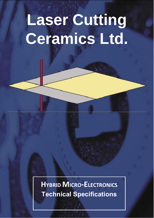# **Laser Cutting Ceramics Ltd.**

**HYBRID MICRO-ELECTRONICS Technical Specifications**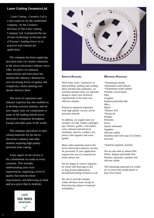### **Laser Cutting CeramicsLtd.**

Laser Cutting - Ceramics Ltd is a new name for an old, established company. As the Ceramics Division of The Laser Cutting Company Ltd, it pioneered the use of laser technology to become one of Europe's leading forces in its practical and commercial application.

The company has been supplying precision laser cut ceramic substrates to the micro-electronics industry since 1981. Its policy of continual improvement and innovation has satisfied the industry's demand for ever increasing levels of quality and complexity, whilst meeting ever shorter delivery dates.

This level of experience and industry expertise has also enabled us to develop overseas markets, and we now supply laser cut components to many of the leading hybrid microelectronics companies throughout Europe and other parts of the world.

The company specialises in laser cutting materials for the microelectronics industry and other markets requiring high quality precision laser cutting.

A key aspect of our service is the commitment we make to every customer. This includes understanding your exact requirements, supplying a level of quality that matches those requirements, and delivering on time and at a price that is realistic.





### **SERVICES AVAILABLE**

With many years' experience in laser profiling, drilling and scribing thick and thin film substrates, we can help optimise laser cut substrate design to meet your technical requirements in the most costeffective manner.

Printed or sputtered substrates with high quality circuits can be precision lasered.

In addition, we supply laser cut ceramics for lids, frames, packages, jigs, fixtures, guides, wear plates, cores, thermal and electrical insulators, spacers, washers, test pieces, kiln supports and wave guides.

Many other materials used in the micro-electronics industry can also be processed. If your application requires the use of a material not listed, please ask.

We are happy to receive inquiries by email with drawings in dxf or dwg format addressed t[o](mailto:dave@lasercutting-ceramics.co.uk) [dave@lasercutting-ceramics.co.uk](mailto:dave@lasercutting-ceramics.co.uk)

We aim to provide samples within 48 hours from receipt of final drawing subject to material availability.

### **MATERIALS PROCESSED**

\*Aluminium nitride Aluminium oxide (black) \*Aluminium oxide (white) Flexible circuit board FR4 Graphite Kapton polyimide film Mica Mylar \*Nomex 410 \*Nylon 66 Perspex Polyester Pyrex Quartz substrates **Sapphire** Silicone rubber Stainless steel foils (up to 0.25mm) Zirconia

\*material regularly stocked

We are also able to obtain FR4, Mylar, Kapton polyimide film, Perspex, polyester, stainless foil, silicone rubber

The remaining materials we would try to source but would prefer to have free issued.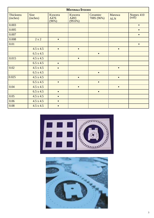|                              |                         |                          | <b>MATERIALS STOCKED</b>      |                        |                      |                     |
|------------------------------|-------------------------|--------------------------|-------------------------------|------------------------|----------------------|---------------------|
| <b>Thickness</b><br>(inches) | <b>Size</b><br>(inches) | Kyocera<br>A476<br>(96%) | Kyocera<br>A493<br>$(99.6\%)$ | Ceramtec<br>708S (96%) | Maruwa<br><b>ALN</b> | Nomex 410<br>(roll) |
| 0.003                        |                         |                          |                               |                        |                      | $\bullet$           |
| 0.005                        |                         |                          |                               |                        |                      | $\bullet$           |
| 0.007                        |                         |                          |                               |                        |                      | $\bullet$           |
| 0.008                        | $2 \times 2$            | $\bullet$                |                               |                        |                      |                     |
| 0.01                         |                         |                          |                               |                        |                      | $\bullet$           |
|                              | $4.5 \times 4.5$        | $\bullet$                | $\bullet$                     |                        | $\bullet$            |                     |
|                              | $6.5 \times 4.5$        |                          |                               | $\bullet$              |                      |                     |
| 0.015                        | $4.5 \times 4.5$        |                          | $\bullet$                     |                        |                      |                     |
|                              | $6.5 \times 4.5$        | $\bullet$                |                               |                        |                      |                     |
| 0.02                         | $4.5 \times 4.5$        | $\bullet$                |                               |                        | $\bullet$            |                     |
|                              | $6.5 \times 4.5$        |                          |                               | $\bullet$              |                      |                     |
| 0.025                        | $4.5 \times 4.5$        |                          | $\bullet$                     |                        | $\bullet$            |                     |
|                              | $6.5 \times 4.5$        | $\bullet$                |                               | $\bullet$              |                      |                     |
| 0.04                         | $4.5 \times 4.5$        |                          | $\bullet$                     |                        | $\bullet$            |                     |
|                              | $6.5 \times 4.5$        | $\bullet$                |                               | $\bullet$              |                      |                     |
| 0.05                         | $4.5 \times 4.5$        | $\bullet$                |                               |                        |                      |                     |
| 0.06                         | $4.5 \times 4.5$        | $\bullet$                |                               |                        |                      |                     |
| 0.08                         | $4.5 \times 4.5$        | $\bullet$                |                               |                        |                      |                     |



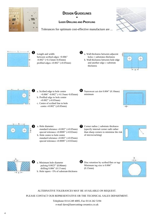

### **DESIGN GUIDELINES •**

### **LASER DRILLING AND PROFILING**

Tolerances for optimum cost-effective manufacture are ...





Length and width: between scribed edges +0.006" -0.002" (+0.15mm/-0.05mm) profiled edges  $\pm 0.002$ " ( $\pm 0.05$ mm)







- a. Scribed edge to hole centre +0.006" -0.002" (+0.15mm/-0.05mm) b. Profiled edge to hole centre  $\pm 0.002$ " ( $\pm 0.05$ mm)
- c. Centre of scribed line to hole centre  $\pm 0.002$ " ( $\pm 0.05$ mm)



Narrowest cut slot 0.004" (0.10mm) **6** minimum





- a. Hole diameter:
- standard tolerance  $\pm 0.002$ " ( $\pm 0.05$ mm) special tolerance  $\pm 0.0008$ " ( $\pm 0.02$ mm) b. Hole centre to hole centre
- standard tolerance  $\pm 0.002$ " ( $\pm 0.05$ mm) special tolerance  $\pm 0.0008$ " ( $\pm 0.02$ mm)



Corner radius  $\geq$  substrate thickness (specify internal corner radii rather than sharp corners to minimise the risk of microcracking)





**4 a.** Minimum hole diameter **6** pulsing 0.0025" (0.06mm) drilling  $0.006$ "  $(0.15 \text{ mm})$ b. Hole tapers ~5% of substrate thickness

Disc retention by scribed flats or tags Minimum tag size is 0.006" (0.15mm)



### ALTERNATIVE TOLERANCES MAY BE AVAILABLE ON REQUEST.

PLEASE CONTACT OUR REPRESENTATIVE OR THE TECHNICAL SALES DEPARTMENT.

Telephone 0114 249 4005, Fax 0114 242 5194 [e-mail dave@lasercutting-ceramics.co.uk](mailto:dave@lasercutting-ceramics.co.uk)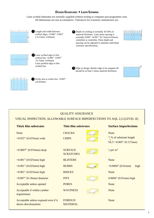### **DESIGN GUIDELINES • LASER SCRIBING**

Laser scribed substrates are normally supplied without tooling or computer part programme costs All dimensions are non-accumulative. Tolerances for economic manufacture are:



### QUALITY ASSURANCE

### VISUAL INSPECTION; ALLOWABLE SURFACE IMPERFECTIONS TO AQL 2,5 (LEVEL II)

| Thin film substrates               | <b>Surface Imperfections</b>                                                    |  |  |  |  |
|------------------------------------|---------------------------------------------------------------------------------|--|--|--|--|
| <b>CRACKS</b><br><b>CHIPS</b>      | None<br>$\frac{3}{\sqrt{6}}$ % of substrate length<br>$NLT > 0.005$ " (0.127mm) |  |  |  |  |
| <b>SURFACE</b><br><b>SCRATCHES</b> | 1 per $in^2$                                                                    |  |  |  |  |
| <b>BLISTERS</b>                    | None                                                                            |  |  |  |  |
| <b>BURRS</b>                       | $\leq 0.0004$ " (0.01mm)<br>high                                                |  |  |  |  |
| <b>RIDGES</b>                      | None                                                                            |  |  |  |  |
| <b>PITS</b>                        | $0.0004$ " $(0.01mm)$ high                                                      |  |  |  |  |
| <b>PORES</b>                       | None                                                                            |  |  |  |  |
| <b>WAVINESS</b>                    | None                                                                            |  |  |  |  |
| <b>FOREIGN</b><br><b>MATERIAL</b>  | None                                                                            |  |  |  |  |
|                                    |                                                                                 |  |  |  |  |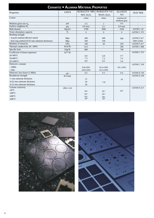| <b>CERAMTEC · ALUMINA MATERIAL PROPERTIES</b>    |                          |                        |                     |                |                  |  |  |  |
|--------------------------------------------------|--------------------------|------------------------|---------------------|----------------|------------------|--|--|--|
| Properties                                       | <b>UNITS</b>             | <b>RUBALIT® 708S</b>   | <b>RUBALIT® 710</b> | <b>ALUNIT®</b> | <b>TEST PER</b>  |  |  |  |
|                                                  |                          | 96% AI, O <sub>3</sub> | 99.6% ALO,          | Ain            |                  |  |  |  |
| Colour                                           | $\overline{\phantom{a}}$ | white                  | white               | translucent    |                  |  |  |  |
|                                                  |                          |                        |                     | medium gray    |                  |  |  |  |
| Medium grain size $d_{50}$                       | µm                       | $3 - 5$                | $\overline{2}$      | $4 - 5$        |                  |  |  |  |
| Surface roughness $R_{a}$                        | $\mu$ m                  | $0.6$ max              | 0.1                 | $0.6$ max      |                  |  |  |  |
| <b>Bulk</b> density                              | Kg/m3                    | 3780                   | 3900                | 3330           | ASTM C 20        |  |  |  |
| Water absorption capacity                        | $\%$                     | $\overline{0}$         | $\overline{0}$      | $\overline{0}$ | ASTM C 373       |  |  |  |
| Bending strength                                 |                          |                        |                     |                |                  |  |  |  |
| $-4$ -point method (40x4x3 mm3)                  | Mpa                      | 400                    | 400                 | 360            | ASTM F 417       |  |  |  |
| - dual ring method (0.63 mm substrate thickness) | Mpa                      | 500                    | 350                 |                | <b>DIN 52292</b> |  |  |  |
| Modules of elasticity                            | GPa                      | 340                    | 28                  | 320            | ASTM F417        |  |  |  |
| Thermal conductivity 20-100%                     | $W/m^{\circ}K$           | 24.3                   |                     | 180            | ASTM C 408       |  |  |  |
| Specific heat                                    | $J/kg^{\circ}K$          | 800                    |                     | 738            |                  |  |  |  |
| Coefficient of linear expansion                  | $10^{-6/°}$ K            |                        |                     |                | ASTM C 373       |  |  |  |
| $20-300$ °C                                      |                          | 6.8                    | 6.8                 | 4.7            |                  |  |  |  |
| $20-600$ °C                                      |                          | 7.3                    | 7.5                 | 5.2            |                  |  |  |  |
| 20-1000°C                                        |                          | 8.0                    | 8.5                 | 5.6            |                  |  |  |  |
| Dielectric constant                              |                          |                        |                     |                | ASTM C 150       |  |  |  |
| $-1MHz$                                          |                          | $9.8 \pm 10\%$         | $10.1 \pm 10\%$     | $9.0 \pm 10\%$ |                  |  |  |  |
| $-GHz$                                           |                          | $10.0 \pm 10\%$        | $10.1 \pm 10\%$     |                |                  |  |  |  |
| Dielectric loss factor (1 MHz)                   | $10^{-3}$                | 0.3                    | 0.2                 | 0.4            | ASTM D 150       |  |  |  |
| Breakdown strength                               | KV/mm                    |                        |                     |                | ASTM D 149       |  |  |  |
| -1 mm substrate thickness                        |                          | 15                     |                     | 16             |                  |  |  |  |
| -0.63 mm substrate thickness                     |                          | 20                     | >10                 |                |                  |  |  |  |
| -0.25 mm substrate thickness                     |                          | 28                     |                     |                |                  |  |  |  |
| Volume resistivity                               | ohm x cm                 |                        |                     |                | ASTM D 257       |  |  |  |
| $-20^{\circ}$ C                                  |                          | $10^{13}$              | $10^{13}$           | $10^{13}$      |                  |  |  |  |
| $-200^{\circ}$ C                                 |                          | $10^{12}$              | $10^{13}$           |                |                  |  |  |  |
| $-400^{\circ}$ C                                 |                          | $10^{11}$              | $10^{12}$           |                |                  |  |  |  |
| $-600^{\circ}$ C                                 |                          | $10^{8}$               | 10 <sup>9</sup>     |                |                  |  |  |  |
|                                                  |                          |                        |                     |                |                  |  |  |  |



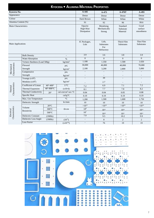|                      |                              |                                 | KYOCERA · ALUMINA MATERIAL PROPERTIES |                                            |                                                 |                                   |                                |
|----------------------|------------------------------|---------------------------------|---------------------------------------|--------------------------------------------|-------------------------------------------------|-----------------------------------|--------------------------------|
| Kyocera No.          |                              |                                 |                                       | $A-445$                                    | $A-473$                                         | $A-476T$                          | A-493                          |
| Appearance           |                              |                                 |                                       | Dense                                      | Dense                                           | Dense                             | Dense                          |
| Colour               |                              |                                 |                                       | Dark Brown                                 | White                                           | White                             | White                          |
| Alumina Content (%)  |                              |                                 |                                       | 91                                         | 92                                              | 96                                | 99.6                           |
| Main Characteristics |                              |                                 |                                       | Opacity<br><b>High Heat</b><br>Dissipation | Metalising<br>Mechanically<br>Strong            | Standard<br>Substrate<br>Material | Good<br>surface<br>smoothness  |
| Main Applications    |                              |                                 |                                       | IC Packages,<br>Lids                       | Lids,<br><b>Substrates</b><br>For<br>Refractory | Thick Film<br>Substrates          | Thin Film<br><b>Substrates</b> |
|                      | <b>Bulk Density</b>          |                                 |                                       | 3.9                                        | 3.6                                             | 3.8                               | 3.9                            |
|                      | Water Absorption             |                                 | $\%$                                  | $\overline{0}$                             | $\overline{0}$                                  | $\Omega$                          | $\Omega$                       |
|                      | Vickers Hardness (Load 500g) |                                 | $kg/mm^2$                             | 1.100                                      | 1.350                                           | 1.500                             | 1.650                          |
| Characteristics      | Flexural                     |                                 | psi,                                  | 30,000                                     | 46,000                                          | 40,000                            | 70,000                         |
| Mechanical           | Strength                     | kg/cm <sup>2</sup>              |                                       | 2,100                                      | 3,200                                           | 2,800                             | 5,000                          |
|                      | Compressive                  |                                 | psi,                                  | $\overline{a}$                             | $\overline{a}$                                  | $\mathbf{r}$                      | $\overline{\phantom{a}}$       |
|                      | Strength                     |                                 | kg/cm <sup>2</sup>                    | $\overline{\phantom{a}}$                   |                                                 | $\overline{\phantom{a}}$          | $\overline{\phantom{a}}$       |
|                      | Youngs $(x10^6)$             |                                 | psi,                                  | $\blacksquare$                             | 39                                              | $\overline{a}$                    | $\blacksquare$                 |
|                      | Modulus $(x10^6)$            |                                 | kg/cm <sup>2</sup>                    |                                            | 2.7                                             |                                   | $\overline{\phantom{a}}$       |
| Characteristics      | Coefficient of Linear        | $40^{\circ} - 400^{\circ}$      | $1$ /°C                               | 7.2                                        | 6.9                                             | 7.1                               | 7.2                            |
| Thermal              | Thermal Expansion            | $40^\circ - 800^\circ \text{C}$ | $(x10-6)$                             | 8.1                                        | 7.7                                             | 7.8                               | 8.2                            |
|                      | <b>Thermal Conductivity</b>  | $20^\circ$                      | cal-cm/cm <sup>2</sup> -sec-°C        | 0.04                                       | 0.04                                            | 0.05                              | 0.08                           |
|                      | Specific Heat                |                                 | cal/g°C                               | 0.19                                       | 0.19                                            | 0.19                              | 0.19                           |
|                      | Max. Use Temperature         |                                 | $\overline{C}$                        | 1,200                                      | 1,500                                           | 1,600                             | 1,750                          |
|                      | Dielectric Strength          |                                 | kv/mm                                 | $10\,$                                     | 10                                              | 10                                | 10                             |
|                      |                              | $20^{\circ}$ C                  |                                       | $>10^{12}$                                 | $>10^{14}$                                      | $>10^{14}$                        | $>10^{14}$                     |
|                      | Volume<br>Resistivity        | $300^{\circ}$ C                 | $\Omega$ -cm                          | 10 <sup>8</sup>                            | $10^{13}$                                       | $10^{14}$                         | $10^{14}$                      |
| Electrical           |                              | $500^{\circ}$ C                 |                                       | 10 <sup>7</sup>                            | $10^{10}$                                       | $10^{11}$                         | $10^{12}$                      |
| Characteristics      | Dielectric Constant          | (1MHz)                          | $\overline{a}$                        | 7.9                                        | 9.5                                             | 10.2                              | 9.9                            |
|                      | Dielectric Loss Angle        | (1MHz)                          | $(10^{-4})$                           | $\Box$                                     | $8\,$                                           | $\overline{c}$                    | $\sqrt{2}$                     |
|                      | <b>Loss Factor</b>           |                                 | $(x10^{-64})$                         | $\blacksquare$                             | 76                                              | 19                                | 19                             |

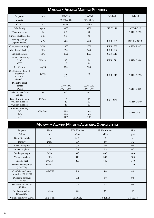|                                                                                            |                          |                                      | <b>MARUWA · ALUMINA MATERIAL PROPERTIES</b> |                   |                          |  |
|--------------------------------------------------------------------------------------------|--------------------------|--------------------------------------|---------------------------------------------|-------------------|--------------------------|--|
| Properties                                                                                 | Unit                     | HA-995                               | HA-96-2                                     | Method            | Related                  |  |
| Material                                                                                   | $\overline{\phantom{a}}$ | 99.6% AI <sub>2</sub> O <sub>3</sub> | 96% AI <sub>2</sub> O <sub>3</sub>          |                   |                          |  |
| Colour                                                                                     | $\overline{\phantom{a}}$ | white                                | white                                       | $\overline{a}$    | $\overline{a}$           |  |
| <b>Bulk</b> density                                                                        | kg/m <sup>3</sup>        | 3900                                 | 3750                                        | <b>JIS C2141</b>  | ASTM C 20                |  |
| Water absorption                                                                           | $\%$                     | 0.0                                  | 0.0                                         |                   | ASTM C 373               |  |
| Surface roughness Ra                                                                       | $\mu$ m                  | 0.1                                  | 0.5                                         |                   | $\overline{\phantom{a}}$ |  |
| Bending strength<br>(3 point method)                                                       | MPa                      | 400                                  | 400                                         | <b>JIS R 1601</b> | <b>DIN EN 843-1</b>      |  |
| Compressive strength                                                                       | MPa                      | 2300                                 | 2000                                        | <b>JIS R 1608</b> | ASTM F417                |  |
| Modulus of elasticity                                                                      | GPa                      | 370                                  | 340                                         | <b>JIS R 1602</b> |                          |  |
| Vickers hardness                                                                           | GPa                      | 15.0                                 | 13.5                                        | <b>JIS R 1610</b> |                          |  |
| Thermal conductivity<br>$25^{\circ}$ C<br>$300^{\circ}$ C                                  | $M/m*K$                  | 30<br>15                             | 24<br>14                                    | <b>JIS R 1611</b> | ASTM C 408               |  |
| Specific heat                                                                              | $J/kg*K$                 | 750                                  | 750                                         |                   |                          |  |
| Coefficient of thermal<br>expansion<br>40 <sup>~</sup> 400°C<br>4080 C                     | $10^6/K$                 | 7.2<br>8.1                           | 7.0<br>7.7                                  | <b>JIS R 1618</b> | ASTM C 373               |  |
| Dielectric const<br>$-1MHz$<br>$-1$ GHz                                                    |                          | $9.7 + (-10\%$<br>$10.2 + (-10\%$    | $9.5 + (-10\%$<br>$10.0 + (-10\%$           |                   | ASTM C <sub>150</sub>    |  |
| Dielectric loss factor<br>$-1MHz$                                                          | 10 <sup>3</sup>          | 0.2                                  | 0.3                                         |                   |                          |  |
| Breakdown strength<br>-0.63mm thickness<br>-0.25mm thickness                               | kV/mm                    | 15<br>20<br>28                       | 15<br>20<br>30                              | <b>JIS C 2141</b> | ASTM D 149               |  |
| Volume resistivity<br>$-2$ <sup><math>C</math></sup><br>$-30^{\circ}$ C<br>$-50^{\circ}$ C | $Ohm*cm$                 | $10^{14}$<br>$10^{12}$<br>$10^{10}$  | $10^{14}$<br>$10^{10}$<br>10 <sup>8</sup>   |                   | ASTM D 257               |  |

|                                                |                          | <b>MARUWA • ALUMINA MATERIAL ADDITIONAL CHARACTERISTICS</b> |                |                |
|------------------------------------------------|--------------------------|-------------------------------------------------------------|----------------|----------------|
| Property                                       | Units                    | 96% Alumina                                                 | 99.5% Alumina  | <b>ALN</b>     |
| Colour                                         | $\overline{\phantom{a}}$ | white                                                       | white          | grey           |
| Grain Size (d50)                               | $\mu$ m                  | $3 - 5$                                                     | $\overline{2}$ | $\overline{4}$ |
| Density                                        | g/cm <sup>3</sup>        | 3.7                                                         | 3.9            | 3.3            |
| Water Absorption                               | $\%$                     | 0.0                                                         | 0.0            | 0.0            |
| Surface roughness                              | $\mu$ m                  | 0.3                                                         | 0.5            | 0.5            |
| Bending strength                               | <b>MPa</b>               | 340                                                         | 400            | 400            |
| Young's module                                 | GPa                      | 340                                                         | 380            | 380            |
| Specific heat                                  | $J/Kg^{\circ}K$          | 800                                                         | 740            | 740            |
| Thermal conductivity<br>$(20-100\%)$           | $W/m^oK$                 | 24                                                          | 170            | 170            |
| Coefficient of linear<br>expansion $(20-600%)$ | $10E-6$ <sup>o</sup> K   | 7.3                                                         | 4.0            | 4.0            |
| Dielectric constant<br>(1MHz 25°C)             |                          | 9.4                                                         | 9.0            | 9.0            |
| Dielectric loss factor<br>(1MHz)               | $\overline{\phantom{a}}$ | 0.3                                                         | 0.4            | 0.4            |
| Breakdown voltage<br>$(t=0.63$ mm)             | KV/mm                    | 20                                                          | 15             | 15             |
| Volume resistivity 200°C                       | Ohm x cm                 | 1 x 10E12                                                   | 1 x 10E14      | 1 x 10E14      |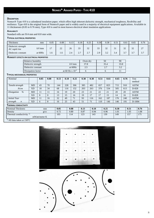### **DESCRIPTION**

Nomex® Type 410 is a calendared insulation paper, which offers high inherent dielectric strength, mechanical toughness, flexibility and resilience. Type 410 is the original form of Nomex® paper and is widely used in a majority of electrical equipment applications. Available in 11 thicknesses (0.05 to 0.76 mm), Type 410 is used in most known electrical sheet insulation applications

### **AVAILABILITY**

Standard rolls are 914 mm and 610 mm wide.

### **TYPICAL ELECTRICAL PROPERTIES**

| Thickness                            | mm      | 0.05 | 0.08 | 0.13 | 0.18 | 0.25                      | 0.30 <sub>l</sub> | 0.38 | 0.51               | 0.61                         | 0.65         | 0.76 |
|--------------------------------------|---------|------|------|------|------|---------------------------|-------------------|------|--------------------|------------------------------|--------------|------|
| Dielectric strength<br>AC rapid rise | kV/mm   |      | 22   | 26   | 33   | $\sim$<br>ے ر             | 33                | 32   | $\bigcap$ 1<br>3 l | 32                           | 32           | 27   |
| Dielectric constant                  | at 60Hz | 1.6  | 1.6  | 2.4  | 2.7  | $\sim$ $\sim$<br><u>.</u> | 2.9               | 32   | 3.4                | $\gamma$<br>$\mathfrak{I}$ . | $\sim$<br>J. | 3.7  |

### **HUMIDITY EFFECTS ON ELECTRICAL PROPERTIES**

| Relative humidity   |                      | Oven dry | 50         | 90   |
|---------------------|----------------------|----------|------------|------|
| Dielectric strength | kV/mm                | 37.8     | 35.4       | 33.8 |
| Dielectric constant | at $60Hz$            | 2.5      | <u>، ،</u> |      |
| Dissipation factor  | at 60 Hz x $10^{-3}$ |          |            |      |

### **TYPICAL MECHANICAL PROPERTIES**

| <b>Nominal</b>                                  |                | 0.05 | 0.08     | 0.13 | 0.18 | 0.25 | 0.30 | 0.38 | 0.51 | 0.61 | 0.65 | 0.76 | Test<br>method |      |
|-------------------------------------------------|----------------|------|----------|------|------|------|------|------|------|------|------|------|----------------|------|
| Tensile strength                                | MD             | 43   | 70       | 144  | 228  | 306  | 385  | 482  | 657  | 823  | 715  | 910  | <b>ASTM</b>    |      |
| N/cm                                            | <b>XD</b>      | 18   | 34       | 68   | 116  | 152  | 203  | 263  | 376  | 534  | 505  | 613  | D-828          |      |
| $\%$<br>Elongation                              | MD             | 11   | 11       | 16   | 19   | 20   | 23   | 21   | 22   | 21   | 20   | 20   | <b>ASTM</b>    |      |
|                                                 | <b>XD</b>      | 8    | $\Omega$ | 13   | 15   | 16   | 19   | 17   | 17   | 15   | 14   | 16   | D-828          |      |
| <b>Initial Tear</b>                             | <b>MD</b>      | 11   | 16       | 32   | 49   | 71   | 93   | 116  | 162  | 187  | 176  | 240  | <b>ASTM</b>    |      |
| strength<br>$\boldsymbol{n}$                    | X <sub>D</sub> | 6    | 8        | 16   | 25   | 43   | 51   | 71   | 110  | 146  | 146  | 191  | D-1004         |      |
| <b>THERMAL CONDUCTIVITY</b>                     |                |      |          |      |      |      |      |      |      |      |      |      |                |      |
| <b>Nominal Thickness</b>                        |                | mm   |          | 0.05 |      | 0.08 | 0.13 | 0.18 |      | 0.25 | 0.38 | 0.51 |                | 0.76 |
| Density                                         |                | g/cc |          | 0.72 |      | 0.80 | 0.87 | 0.94 |      | 0.96 | 1.01 | 1.05 |                | 1.08 |
| Thermal conductivity $1$ )                      |                |      |          | 103  |      | 114  | 123  | 143  |      | 139  | 149  | 157  |                | 175  |
| mWatt/meter K                                   |                |      |          |      |      |      |      |      |      |      |      |      |                |      |
| <sup>1)</sup> All data taken at $150^{\circ}$ C |                |      |          |      |      |      |      |      |      |      |      |      |                |      |

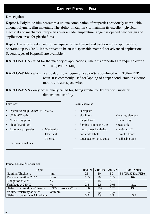### **KAPTON® POLYIMIDE FILM**

### **Description**

Kapton® Polyimide film possesses a unique combination of properties previously unavailable among polymeric film materials. The ability of Kapton® to maintain its excellent physical, electrical and mechanical properties over a wide temperature range has opened new design and application areas for plastic films.

Kapton® is extensively used for aerospace, printed circuit and traction motor applications, operating up to 400°C. It has proved to be an indispensable material for advanced applications. Several types of Kapton® are available:-

**KAPTON® HN** - used for the majority of applications, where its properties are required over a wide temperature range

**KAPTON® FN** - where heat sealability is required. Kapton® is combined with Teflon FEP resin. It is commonly used for lapping of copper conductors in electric motors and aerospace wires

**KAPTON® VN** - only occasionally called for, being similar to HN but with superior dimensional stability

- Operating range  $-269^{\circ}$ C to  $+400^{\circ}$ C aerospace
- UL94-VO rating slot liners slot liners heating elements
- No melting point magnet wire metallising
- 
- 
- 
- 

### **FEATURES: APPLICATIONS:**

- 
- 
- 
- Flexible and light flexible printed circuits heat sink
- Excellent properties: Mechanical transformer insulation radar chaff
	- Electrical bar code labels smoke hoods
	- Thermal loudspeaker voice coils adhesive tape
- 
- 
- 
- 
- -

• chemical resistance

### **TYPICALKAPTON®PROPERTIES**

| <b>Type</b>                           |                               | <b>100HN</b>     | $200$ HN  | $200 \text{ VN}$ | 150 FN 019        |
|---------------------------------------|-------------------------------|------------------|-----------|------------------|-------------------|
| Nominal Thickness                     | um                            | 25               | 50        | 50               | 38 (25µK/13µ FEP) |
| Tensile strength at 23 <sup>°</sup> C | $N/mm^2$                      | 165              | 165       | 165              | 162               |
| Elongation at 23 <sup>°</sup> C       | %                             | 40               | 45        | 50               | 70                |
| Shrinkage at 250°C                    | $\%$                          | 2.5              | 2.5       | 0.05             | n.a.              |
| Dielectric strength at 60 hertz-      | $1/4$ " electrodes V/ $\mu$ m | 236              | 197       | 197              | 138               |
| Volume resistivity at 200°C           | ohm-cm                        | 1 <sub>012</sub> | $10^{12}$ | $10^{12}$        | 10                |
| Dielectric constant at 1 kilohertz    |                               | 3.9              | 3.9       | 3.9              | 3.9               |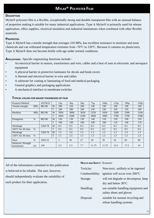### **MYLAR® POLYESTER FILM**

### **DESCRIPTION**

Mylar® polyester film is a flexible, exceptionally strong and durable transparent film with an unusual balance of properties making it suitable for many industrial applications. Type A Mylar® is primarily used for release application, office supplies, electrical insulation and industrial laminations when combined with other flexible materials.

### **PROPERTIES**

Type A Mylar® has a tensile strength that averages 210 MPa, has excellent resistance to moisture and most chemicals and can withstand temperature extremes from -70°C to 150°C. Because it contains no plasticizers, Type A Mylar® does not become brittle with age under normal conditions.

**APPLICATIONS** - Specific engineering functions include:-

- An electrical barrier in motors, transformers and wire, cables and a host of uses in electronic and aerospace equipment
- A physical barrier in protective laminates for decals and book covers
- A thermal and electrical barrier in wire and cables
- A substrate for coating or laminating of food and medical packaging
- General graphics and packaging applications
- A mechanical interface in membrane switches

| Property/Method                  |               | <b>ASTMD</b> |    | $23\mu$ | $36\mu$ | $50\mu$ | $75\mu$ | 100 <sub>u</sub> | $125\mu$ | 190 <sub>u</sub> | $250\mu$ |
|----------------------------------|---------------|--------------|----|---------|---------|---------|---------|------------------|----------|------------------|----------|
| Tensile strength                 | MPa           | 882-80       | M  | 200     | 220     | 200     | 190     | 190              | 190      | 190              | 190      |
|                                  |               |              | m  | 240     | 280     | 240     | 230     | 230              | 220      | 220              | 200      |
| Modulus                          | MPa           | 882-80       | M  | 3850    | 3800    | 3650    | 3550    | 3450             | 3300     | 3300             | 3100     |
|                                  |               |              | ᠇᠇ | 4450    | 4500    | 4100    | 4000    | 3900             | 3700     | 3700             | 3500     |
| Elongation                       | $\frac{0}{0}$ | 882-80       | M  | 130     | 130     | 130     | 140     | 150              | 150      | 190              | 210      |
|                                  |               |              | Ť  | 100     | 100     | 100     | 100     | 100              | 110      | 140              | 170      |
| Shrinkage                        |               | 1204-78      | M  | 0.5     | 0.5     | 0.5     | 0.5     | 0.5              | 0.5      | 0.5              | 0.5      |
| $105^{\circ}$ C for 30 mins      | $\%$          |              | ᠇᠇ | 0.5     | 0.5     | 0.5     | 0.5     | 0.5              | 0.5      | 0.5              | 0.5      |
| Shrinkage                        |               | 1204-78      | M  | 1.5     | 2.0     | 1.5     | 1.3     | 1.3              | 1.3      | 1.3              | 1.3      |
| $150^{\circ}$ C for 30 mins      | $\%$          |              | m  | 1.5     | 2.5     | 1.5     | 1.3     | 1.3              | 1.3      | 1.3              | 1.3      |
| Haze                             | $\%$          | 1003-52      |    | 5       | 30      | 27      | 39      | 39               | 43       | 82               | 90       |
| Dielectric Strength<br>(minimum) | kV            | 149          |    | 2.5     | 5.5     | 7.7     | 11.75   | 11.75            | 13.5     | 17.5             | 19       |

### **TYPICAL VALUES FOR MAJOR THICKNESSES OF FILM**

All of the information contained in this publication is believed to be reliable. The user, however, should independently evaluate the suitability of each product for their application.

### **HEALTH AND SAFETY**: SUMMARY

| Toxicity: | Non-toxic, unlikely to be ingested                       |
|-----------|----------------------------------------------------------|
|           | Combustibility: ignition will occur over $200^{\circ}$ C |
| Storage:  | will not degrade or decompose, keep                      |
|           | dry and below $30^{\circ}$ C                             |
| Handling: | use suitable handling equipment and                      |
|           | safety shoes and gloves                                  |
| Disposal: | suitable for normal recycling and                        |
|           | refuse handling systems                                  |